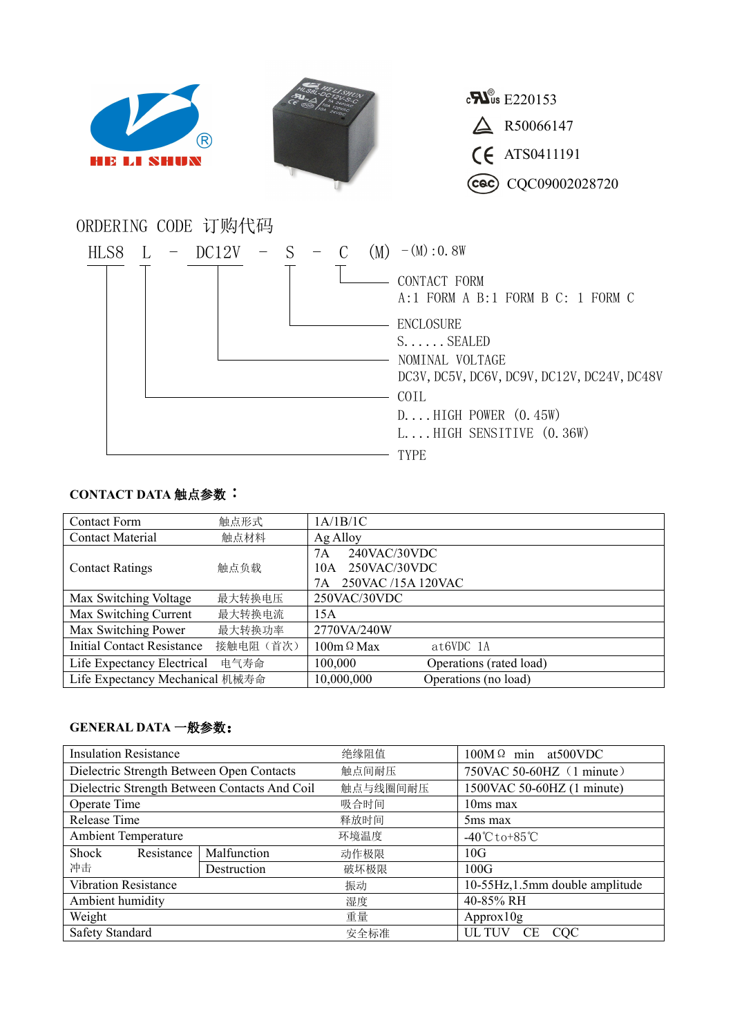

## **CONTACT DATA** 触点参数:

| <b>Contact Form</b>               | 触点形式      | 1A/1B/1C                           |
|-----------------------------------|-----------|------------------------------------|
| <b>Contact Material</b>           | 触点材料      | Ag Alloy                           |
|                                   | 触点负载      | 240VAC/30VDC<br>7A                 |
| <b>Contact Ratings</b>            |           | 250VAC/30VDC<br>10A                |
|                                   |           | 250VAC /15A 120VAC<br>7A           |
| Max Switching Voltage             | 最大转换电压    | 250VAC/30VDC                       |
| Max Switching Current             | 最大转换电流    | 15A                                |
| Max Switching Power               | 最大转换功率    | 2770VA/240W                        |
| <b>Initial Contact Resistance</b> | 接触电阻 (首次) | $100m \Omega$ Max<br>$at6VDC$ 1A   |
| Life Expectancy Electrical        | 电气寿命      | 100,000<br>Operations (rated load) |
| Life Expectancy Mechanical 机械寿命   |           | 10,000,000<br>Operations (no load) |

## **GENERAL DATA** 一般参数:

| <b>Insulation Resistance</b>                  |             | 绝缘阻值     | $100M \Omega$ min at 500 VDC      |
|-----------------------------------------------|-------------|----------|-----------------------------------|
| Dielectric Strength Between Open Contacts     |             | 触点间耐压    | 750VAC 50-60HZ (1 minute)         |
| Dielectric Strength Between Contacts And Coil |             | 触点与线圈间耐压 | 1500VAC 50-60HZ (1 minute)        |
| Operate Time                                  |             | 吸合时间     | 10ms max                          |
| Release Time                                  |             | 释放时间     | 5ms max                           |
| <b>Ambient Temperature</b>                    |             | 环境温度     | $-40^{\circ}$ Cto+85 $^{\circ}$ C |
| Shock<br>Resistance                           | Malfunction | 动作极限     | 10G                               |
| 冲击                                            | Destruction | 破坏极限     | 100G                              |
| <b>Vibration Resistance</b>                   |             | 振动       | 10-55Hz, 1.5mm double amplitude   |
| Ambient humidity                              |             | 湿度       | 40-85% RH                         |
| Weight                                        |             | 重量       | Approx10g                         |
| <b>Safety Standard</b>                        |             | 安全标准     | UL TUV<br>CE CQC                  |